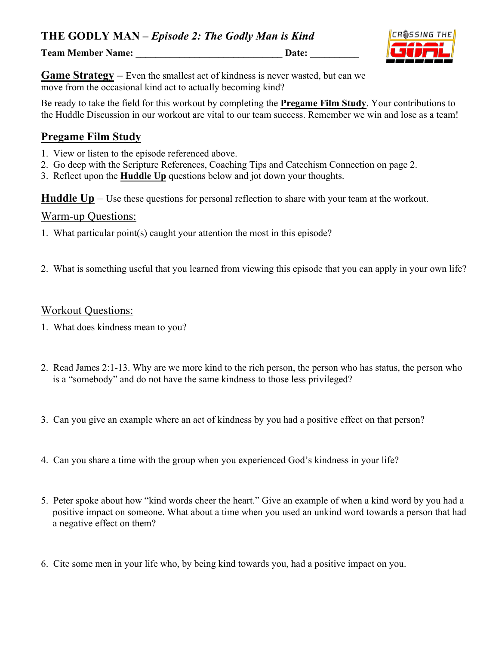**Team Member Name:** Date:



**Game Strategy** – Even the smallest act of kindness is never wasted, but can we move from the occasional kind act to actually becoming kind?

Be ready to take the field for this workout by completing the **Pregame Film Study**. Your contributions to the Huddle Discussion in our workout are vital to our team success. Remember we win and lose as a team!

# **Pregame Film Study**

- 1. View or listen to the episode referenced above.
- 2. Go deep with the Scripture References, Coaching Tips and Catechism Connection on page 2.
- 3. Reflect upon the **Huddle Up** questions below and jot down your thoughts.

**Huddle Up** – Use these questions for personal reflection to share with your team at the workout.

#### Warm-up Questions:

- 1. What particular point(s) caught your attention the most in this episode?
- 2. What is something useful that you learned from viewing this episode that you can apply in your own life?

#### Workout Questions:

- 1. What does kindness mean to you?
- 2. Read James 2:1-13. Why are we more kind to the rich person, the person who has status, the person who is a "somebody" and do not have the same kindness to those less privileged?
- 3. Can you give an example where an act of kindness by you had a positive effect on that person?
- 4. Can you share a time with the group when you experienced God's kindness in your life?
- 5. Peter spoke about how "kind words cheer the heart." Give an example of when a kind word by you had a positive impact on someone. What about a time when you used an unkind word towards a person that had a negative effect on them?
- 6. Cite some men in your life who, by being kind towards you, had a positive impact on you.